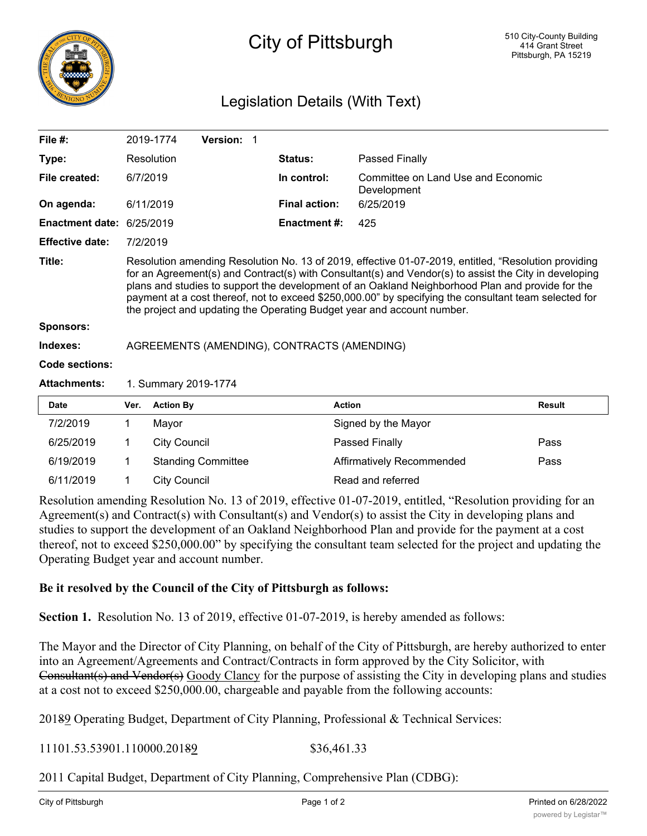

## City of Pittsburgh

## Legislation Details (With Text)

| File $#$ :                 |                                                                                                                                                                                                                                                                                                                                                                                                                                                                                                      | 2019-1774           | <b>Version: 1</b>         |                      |                                                   |               |  |
|----------------------------|------------------------------------------------------------------------------------------------------------------------------------------------------------------------------------------------------------------------------------------------------------------------------------------------------------------------------------------------------------------------------------------------------------------------------------------------------------------------------------------------------|---------------------|---------------------------|----------------------|---------------------------------------------------|---------------|--|
| Type:                      |                                                                                                                                                                                                                                                                                                                                                                                                                                                                                                      | Resolution          |                           | <b>Status:</b>       | Passed Finally                                    |               |  |
| File created:              | 6/7/2019                                                                                                                                                                                                                                                                                                                                                                                                                                                                                             |                     |                           | In control:          | Committee on Land Use and Economic<br>Development |               |  |
| On agenda:                 |                                                                                                                                                                                                                                                                                                                                                                                                                                                                                                      | 6/11/2019           |                           | <b>Final action:</b> | 6/25/2019                                         |               |  |
| <b>Enactment date:</b>     | 6/25/2019                                                                                                                                                                                                                                                                                                                                                                                                                                                                                            |                     |                           | Enactment #:         | 425                                               |               |  |
| <b>Effective date:</b>     | 7/2/2019                                                                                                                                                                                                                                                                                                                                                                                                                                                                                             |                     |                           |                      |                                                   |               |  |
| Title:<br><b>Sponsors:</b> | Resolution amending Resolution No. 13 of 2019, effective 01-07-2019, entitled, "Resolution providing<br>for an Agreement(s) and Contract(s) with Consultant(s) and Vendor(s) to assist the City in developing<br>plans and studies to support the development of an Oakland Neighborhood Plan and provide for the<br>payment at a cost thereof, not to exceed \$250,000.00" by specifying the consultant team selected for<br>the project and updating the Operating Budget year and account number. |                     |                           |                      |                                                   |               |  |
| Indexes:                   | AGREEMENTS (AMENDING), CONTRACTS (AMENDING)                                                                                                                                                                                                                                                                                                                                                                                                                                                          |                     |                           |                      |                                                   |               |  |
| Code sections:             |                                                                                                                                                                                                                                                                                                                                                                                                                                                                                                      |                     |                           |                      |                                                   |               |  |
| <b>Attachments:</b>        | 1. Summary 2019-1774                                                                                                                                                                                                                                                                                                                                                                                                                                                                                 |                     |                           |                      |                                                   |               |  |
| <b>Date</b>                | Ver.                                                                                                                                                                                                                                                                                                                                                                                                                                                                                                 | <b>Action By</b>    |                           | <b>Action</b>        |                                                   | <b>Result</b> |  |
| 7/2/2019                   | 1.                                                                                                                                                                                                                                                                                                                                                                                                                                                                                                   | Mayor               |                           |                      | Signed by the Mayor                               |               |  |
| 6/25/2019                  | 1.                                                                                                                                                                                                                                                                                                                                                                                                                                                                                                   | <b>City Council</b> |                           |                      | Passed Finally                                    | Pass          |  |
| 6/19/2019                  | 1                                                                                                                                                                                                                                                                                                                                                                                                                                                                                                    |                     | <b>Standing Committee</b> |                      | Affirmatively Recommended                         | Pass          |  |

Resolution amending Resolution No. 13 of 2019, effective 01-07-2019, entitled, "Resolution providing for an Agreement(s) and Contract(s) with Consultant(s) and Vendor(s) to assist the City in developing plans and studies to support the development of an Oakland Neighborhood Plan and provide for the payment at a cost thereof, not to exceed \$250,000.00" by specifying the consultant team selected for the project and updating the Operating Budget year and account number.

## **Be it resolved by the Council of the City of Pittsburgh as follows:**

6/11/2019 1 City Council Read and referred

**Section 1.** Resolution No. 13 of 2019, effective 01-07-2019, is hereby amended as follows:

The Mayor and the Director of City Planning, on behalf of the City of Pittsburgh, are hereby authorized to enter into an Agreement/Agreements and Contract/Contracts in form approved by the City Solicitor, with Consultant(s) and Vendor(s) Goody Clancy for the purpose of assisting the City in developing plans and studies at a cost not to exceed \$250,000.00, chargeable and payable from the following accounts:

20189 Operating Budget, Department of City Planning, Professional & Technical Services:

11101.53.53901.110000.20189 \$36,461.33

2011 Capital Budget, Department of City Planning, Comprehensive Plan (CDBG):